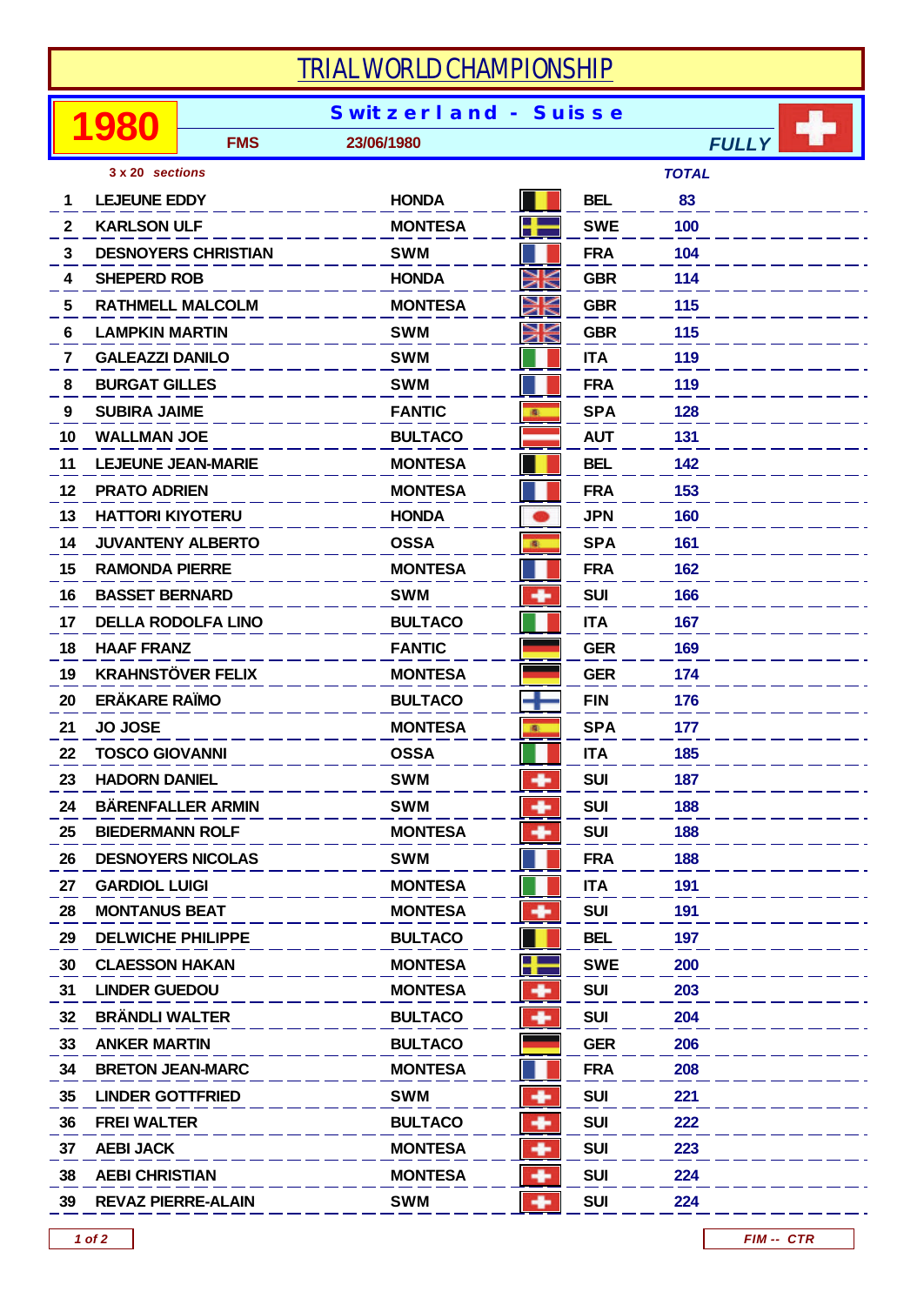| TRIAL WORLD CHAMPIONSHIP        |                             |                            |                |    |            |              |  |  |  |  |
|---------------------------------|-----------------------------|----------------------------|----------------|----|------------|--------------|--|--|--|--|
|                                 | <b>Switzerland - Suisse</b> |                            |                |    |            |              |  |  |  |  |
|                                 | 980                         | <b>FMS</b>                 | 23/06/1980     |    |            | <b>FULLY</b> |  |  |  |  |
| <b>TOTAL</b><br>3 x 20 sections |                             |                            |                |    |            |              |  |  |  |  |
| 1                               | <b>LEJEUNE EDDY</b>         |                            | <b>HONDA</b>   |    | <b>BEL</b> | 83           |  |  |  |  |
| $\mathbf{2}$                    | <b>KARLSON ULF</b>          |                            | <b>MONTESA</b> | ٢  | <b>SWE</b> | 100          |  |  |  |  |
| 3                               |                             | <b>DESNOYERS CHRISTIAN</b> | <b>SWM</b>     |    | <b>FRA</b> | 104          |  |  |  |  |
| 4                               | <b>SHEPERD ROB</b>          |                            | <b>HONDA</b>   | ¥  | <b>GBR</b> | 114          |  |  |  |  |
| 5                               |                             | <b>RATHMELL MALCOLM</b>    | <b>MONTESA</b> | ¥  | <b>GBR</b> | 115          |  |  |  |  |
| 6                               | <b>LAMPKIN MARTIN</b>       |                            | <b>SWM</b>     | ы⊌ | <b>GBR</b> | 115          |  |  |  |  |
| 7                               | <b>GALEAZZI DANILO</b>      |                            | <b>SWM</b>     |    | <b>ITA</b> | 119          |  |  |  |  |
| 8                               | <b>BURGAT GILLES</b>        |                            | <b>SWM</b>     |    | <b>FRA</b> | 119          |  |  |  |  |
| 9                               | <b>SUBIRA JAIME</b>         |                            | <b>FANTIC</b>  | 廊  | <b>SPA</b> | 128          |  |  |  |  |
| 10                              | <b>WALLMAN JOE</b>          |                            | <b>BULTACO</b> |    | <b>AUT</b> | 131          |  |  |  |  |
| 11                              |                             | <b>LEJEUNE JEAN-MARIE</b>  | <b>MONTESA</b> |    | <b>BEL</b> | 142          |  |  |  |  |
| 12                              | <b>PRATO ADRIEN</b>         |                            | <b>MONTESA</b> |    | <b>FRA</b> | 153          |  |  |  |  |
| 13                              | <b>HATTORI KIYOTERU</b>     |                            | <b>HONDA</b>   |    | <b>JPN</b> | 160          |  |  |  |  |
| 14                              |                             | <b>JUVANTENY ALBERTO</b>   | <b>OSSA</b>    | 圖  | <b>SPA</b> | 161          |  |  |  |  |
| 15                              | <b>RAMONDA PIERRE</b>       |                            | <b>MONTESA</b> |    | <b>FRA</b> | 162          |  |  |  |  |
| 16                              | <b>BASSET BERNARD</b>       |                            | <b>SWM</b>     |    | <b>SUI</b> | 166          |  |  |  |  |
| 17                              |                             | <b>DELLA RODOLFA LINO</b>  | <b>BULTACO</b> |    | <b>ITA</b> | 167          |  |  |  |  |
| 18                              | <b>HAAF FRANZ</b>           |                            | <b>FANTIC</b>  |    | <b>GER</b> | 169          |  |  |  |  |
| 19                              | <b>KRAHNSTÖVER FELIX</b>    |                            | <b>MONTESA</b> |    | <b>GER</b> | 174          |  |  |  |  |
| 20                              | <b>ERÄKARE RAÏMO</b>        |                            | <b>BULTACO</b> |    | <b>FIN</b> | 176          |  |  |  |  |
| 21                              | <b>JO JOSE</b>              |                            | <b>MONTESA</b> | 图  | <b>SPA</b> | 177          |  |  |  |  |
| 22                              | <b>TOSCO GIOVANNI</b>       |                            | <b>OSSA</b>    |    | <b>ITA</b> | 185          |  |  |  |  |
| 23                              | <b>HADORN DANIEL</b>        |                            | <b>SWM</b>     | ۰  | <b>SUI</b> | 187          |  |  |  |  |
| 24                              |                             | <b>BÄRENFALLER ARMIN</b>   | <b>SWM</b>     | ۰  | <b>SUI</b> | 188          |  |  |  |  |
| 25                              | <b>BIEDERMANN ROLF</b>      |                            | <b>MONTESA</b> |    | <b>SUI</b> | 188          |  |  |  |  |
| 26                              |                             | <b>DESNOYERS NICOLAS</b>   | <b>SWM</b>     |    | <b>FRA</b> | 188          |  |  |  |  |
| 27                              | <b>GARDIOL LUIGI</b>        |                            | <b>MONTESA</b> |    | <b>ITA</b> | 191          |  |  |  |  |
| 28                              | <b>MONTANUS BEAT</b>        |                            | <b>MONTESA</b> | ۰  | <b>SUI</b> | 191          |  |  |  |  |
| 29                              | <b>DELWICHE PHILIPPE</b>    |                            | <b>BULTACO</b> |    | <b>BEL</b> | 197          |  |  |  |  |
| 30                              | <b>CLAESSON HAKAN</b>       |                            | <b>MONTESA</b> | m  | <b>SWE</b> | 200          |  |  |  |  |
| 31                              | <b>LINDER GUEDOU</b>        |                            | <b>MONTESA</b> |    | <b>SUI</b> | 203          |  |  |  |  |
| 32                              | <b>BRÄNDLI WALTER</b>       |                            | <b>BULTACO</b> | ۰  | <b>SUI</b> | 204          |  |  |  |  |
| 33                              | <b>ANKER MARTIN</b>         |                            | <b>BULTACO</b> |    | <b>GER</b> | 206          |  |  |  |  |
| 34                              | <b>BRETON JEAN-MARC</b>     |                            | <b>MONTESA</b> |    | <b>FRA</b> | 208          |  |  |  |  |
| 35                              | <b>LINDER GOTTFRIED</b>     |                            | <b>SWM</b>     | ۰  | <b>SUI</b> | 221          |  |  |  |  |
| 36                              | <b>FREI WALTER</b>          |                            | <b>BULTACO</b> | ۰  | <b>SUI</b> | 222          |  |  |  |  |
| 37                              | <b>AEBI JACK</b>            |                            | <b>MONTESA</b> | ۰  | <b>SUI</b> | 223          |  |  |  |  |
| 38                              | <b>AEBI CHRISTIAN</b>       |                            | <b>MONTESA</b> | ۰  | <b>SUI</b> | 224          |  |  |  |  |
| 39                              | <b>REVAZ PIERRE-ALAIN</b>   |                            | <b>SWM</b>     | ۰  | <b>SUI</b> | 224          |  |  |  |  |